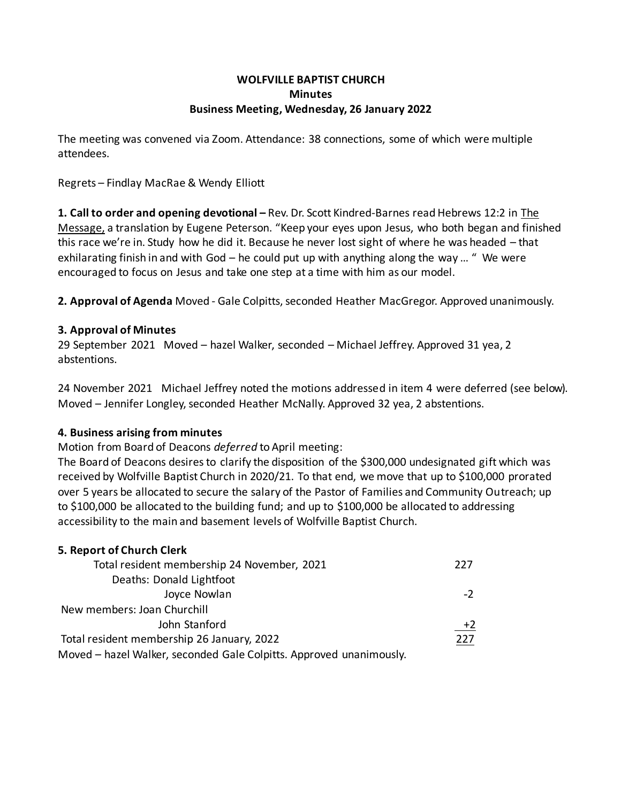#### **WOLFVILLE BAPTIST CHURCH Minutes Business Meeting, Wednesday, 26 January 2022**

The meeting was convened via Zoom. Attendance: 38 connections, some of which were multiple attendees.

Regrets – Findlay MacRae & Wendy Elliott

**1. Call to order and opening devotional –** Rev. Dr. Scott Kindred-Barnes read Hebrews 12:2 in The Message, a translation by Eugene Peterson. "Keep your eyes upon Jesus, who both began and finished this race we're in. Study how he did it. Because he never lost sight of where he was headed – that exhilarating finish in and with God – he could put up with anything along the way ... " We were encouraged to focus on Jesus and take one step at a time with him as our model.

**2. Approval of Agenda** Moved - Gale Colpitts, seconded Heather MacGregor. Approved unanimously.

#### **3. Approval of Minutes**

29 September 2021 Moved – hazel Walker, seconded – Michael Jeffrey. Approved 31 yea, 2 abstentions.

24 November 2021 Michael Jeffrey noted the motions addressed in item 4 were deferred (see below). Moved – Jennifer Longley, seconded Heather McNally. Approved 32 yea, 2 abstentions.

## **4. Business arising from minutes**

Motion from Board of Deacons *deferred* to April meeting:

The Board of Deacons desires to clarify the disposition of the \$300,000 undesignated gift which was received by Wolfville Baptist Church in 2020/21. To that end, we move that up to \$100,000 prorated over 5 years be allocated to secure the salary of the Pastor of Families and Community Outreach; up to \$100,000 be allocated to the building fund; and up to \$100,000 be allocated to addressing accessibility to the main and basement levels of Wolfville Baptist Church.

## **5. Report of Church Clerk**

| Total resident membership 24 November, 2021                         | 227  |
|---------------------------------------------------------------------|------|
| Deaths: Donald Lightfoot                                            |      |
| Joyce Nowlan                                                        | $-2$ |
| New members: Joan Churchill                                         |      |
| John Stanford                                                       | $+2$ |
| Total resident membership 26 January, 2022                          | 227  |
| Moved - hazel Walker, seconded Gale Colpitts. Approved unanimously. |      |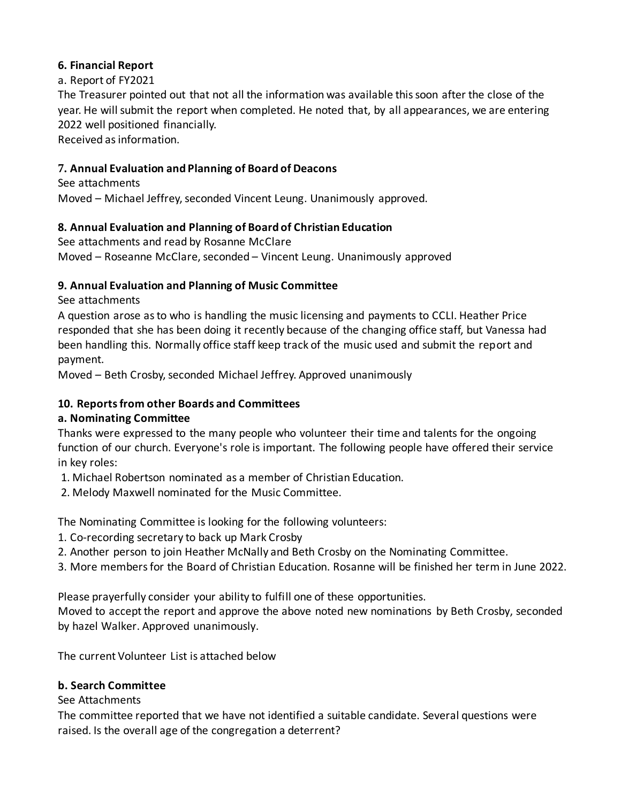## **6. Financial Report**

# a. Report of FY2021

The Treasurer pointed out that not all the information was available this soon after the close of the year. He will submit the report when completed. He noted that, by all appearances, we are entering 2022 well positioned financially.

Received as information.

# **7. Annual Evaluation and Planning of Board of Deacons**

See attachments Moved – Michael Jeffrey, seconded Vincent Leung. Unanimously approved.

# **8. Annual Evaluation and Planning of Board of Christian Education**

See attachments and read by Rosanne McClare Moved – Roseanne McClare, seconded – Vincent Leung. Unanimously approved

# **9. Annual Evaluation and Planning of Music Committee**

See attachments

A question arose as to who is handling the music licensing and payments to CCLI. Heather Price responded that she has been doing it recently because of the changing office staff, but Vanessa had been handling this. Normally office staff keep track of the music used and submit the report and payment.

Moved – Beth Crosby, seconded Michael Jeffrey. Approved unanimously

# **10. Reportsfrom other Boards and Committees**

# **a. Nominating Committee**

Thanks were expressed to the many people who volunteer their time and talents for the ongoing function of our church. Everyone's role is important. The following people have offered their service in key roles:

1. Michael Robertson nominated as a member of Christian Education.

2. Melody Maxwell nominated for the Music Committee.

The Nominating Committee is looking for the following volunteers:

1. Co-recording secretary to back up Mark Crosby

2. Another person to join Heather McNally and Beth Crosby on the Nominating Committee.

3. More members for the Board of Christian Education. Rosanne will be finished her term in June 2022.

Please prayerfully consider your ability to fulfill one of these opportunities.

Moved to accept the report and approve the above noted new nominations by Beth Crosby, seconded by hazel Walker. Approved unanimously.

The current Volunteer List is attached below

# **b. Search Committee**

# See Attachments

The committee reported that we have not identified a suitable candidate. Several questions were raised. Is the overall age of the congregation a deterrent?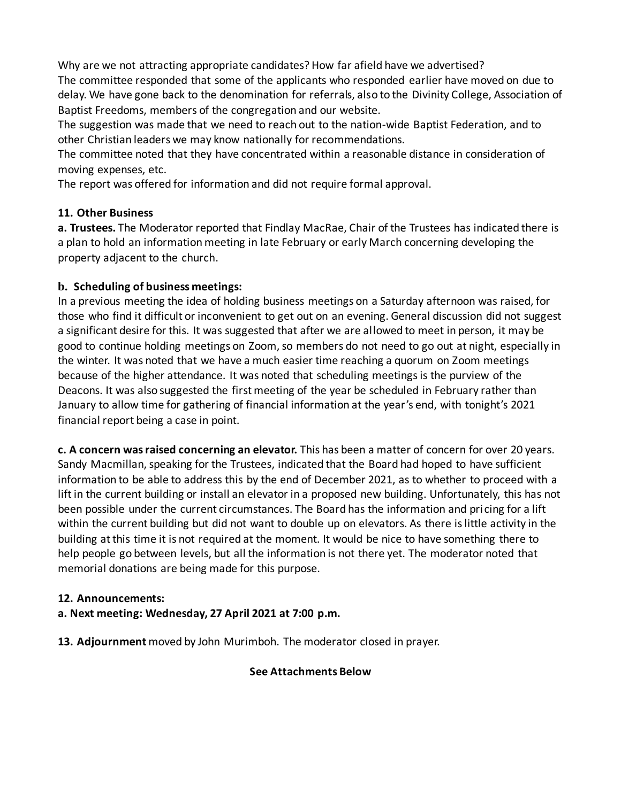Why are we not attracting appropriate candidates? How far afield have we advertised?

The committee responded that some of the applicants who responded earlier have moved on due to delay. We have gone back to the denomination for referrals, also to the Divinity College, Association of Baptist Freedoms, members of the congregation and our website.

The suggestion was made that we need to reach out to the nation-wide Baptist Federation, and to other Christian leaders we may know nationally for recommendations.

The committee noted that they have concentrated within a reasonable distance in consideration of moving expenses, etc.

The report was offered for information and did not require formal approval.

## **11. Other Business**

**a. Trustees.** The Moderator reported that Findlay MacRae, Chair of the Trustees has indicated there is a plan to hold an information meeting in late February or early March concerning developing the property adjacent to the church.

## **b. Scheduling of business meetings:**

In a previous meeting the idea of holding business meetings on a Saturday afternoon was raised, for those who find it difficult or inconvenient to get out on an evening. General discussion did not suggest a significant desire for this. It was suggested that after we are allowed to meet in person, it may be good to continue holding meetings on Zoom, so members do not need to go out at night, especially in the winter. It was noted that we have a much easier time reaching a quorum on Zoom meetings because of the higher attendance. It was noted that scheduling meetings is the purview of the Deacons. It was also suggested the first meeting of the year be scheduled in February rather than January to allow time for gathering of financial information at the year's end, with tonight's 2021 financial report being a case in point.

**c. A concern was raised concerning an elevator.** This has been a matter of concern for over 20 years. Sandy Macmillan, speaking for the Trustees, indicated that the Board had hoped to have sufficient information to be able to address this by the end of December 2021, as to whether to proceed with a lift in the current building or install an elevator in a proposed new building. Unfortunately, this has not been possible under the current circumstances. The Board has the information and pricing for a lift within the current building but did not want to double up on elevators. As there is little activity in the building at this time it is not required at the moment. It would be nice to have something there to help people go between levels, but all the information is not there yet. The moderator noted that memorial donations are being made for this purpose.

# **12. Announcements:**

## **a. Next meeting: Wednesday, 27 April 2021 at 7:00 p.m.**

**13. Adjournment** moved by John Murimboh. The moderator closed in prayer.

## **See Attachments Below**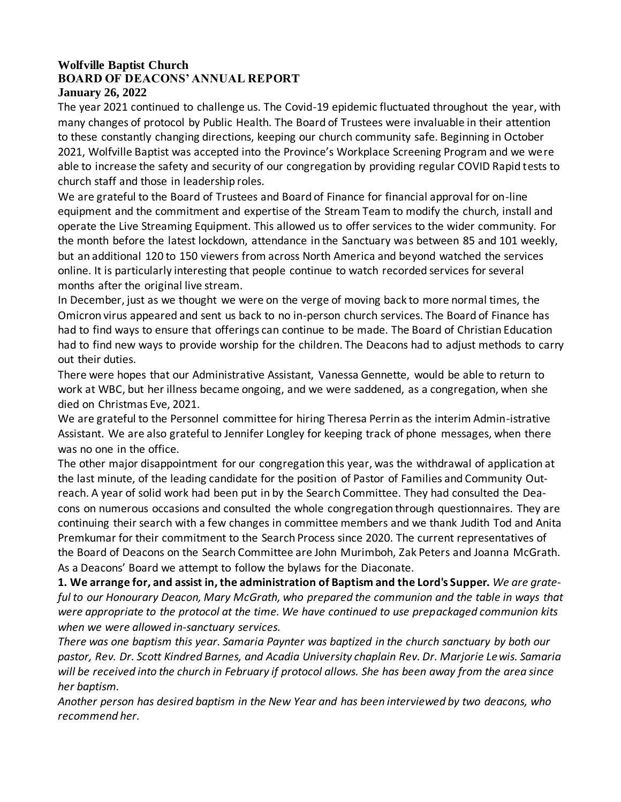#### **Wolfville Baptist Church BOARD OF DEACONS' ANNUAL REPORT January 26, 2022**

The year 2021 continued to challenge us. The Covid-19 epidemic fluctuated throughout the year, with many changes of protocol by Public Health. The Board of Trustees were invaluable in their attention to these constantly changing directions, keeping our church community safe. Beginning in October 2021, Wolfville Baptist was accepted into the Province's Workplace Screening Program and we were able to increase the safety and security of our congregation by providing regular COVID Rapid tests to church staff and those in leadership roles.

We are grateful to the Board of Trustees and Board of Finance for financial approval for on-line equipment and the commitment and expertise of the Stream Team to modify the church, install and operate the Live Streaming Equipment. This allowed us to offer services to the wider community. For the month before the latest lockdown, attendance in the Sanctuary was between 85 and 101 weekly, but an additional 120 to 150 viewers from across North America and beyond watched the services online. It is particularly interesting that people continue to watch recorded services for several months after the original live stream.

In December, just as we thought we were on the verge of moving back to more normal times, the Omicron virus appeared and sent us back to no in-person church services. The Board of Finance has had to find ways to ensure that offerings can continue to be made. The Board of Christian Education had to find new ways to provide worship for the children. The Deacons had to adjust methods to carry out their duties.

There were hopes that our Administrative Assistant, Vanessa Gennette, would be able to return to work at WBC, but her illness became ongoing, and we were saddened, as a congregation, when she died on Christmas Eve, 2021.

We are grateful to the Personnel committee for hiring Theresa Perrin as the interim Admin-istrative Assistant. We are also grateful to Jennifer Longley for keeping track of phone messages, when there was no one in the office.

The other major disappointment for our congregation this year, was the withdrawal of application at the last minute, of the leading candidate for the position of Pastor of Families and Community Outreach. A year of solid work had been put in by the Search Committee. They had consulted the Deacons on numerous occasions and consulted the whole congregation through questionnaires. They are continuing their search with a few changes in committee members and we thank Judith Tod and Anita Premkumar for their commitment to the Search Process since 2020. The current representatives of the Board of Deacons on the Search Committee are John Murimboh, Zak Peters and Joanna McGrath. As a Deacons' Board we attempt to follow the bylaws for the Diaconate.

**1. We arrange for, and assist in, the administration of Baptism and the Lord's Supper.** *We are grateful to our Honourary Deacon, Mary McGrath, who prepared the communion and the table in ways that were appropriate to the protocol at the time. We have continued to use prepackaged communion kits when we were allowed in-sanctuary services.* 

*There was one baptism this year. Samaria Paynter was baptized in the church sanctuary by both our pastor, Rev. Dr. Scott Kindred Barnes, and Acadia University chaplain Rev. Dr. Marjorie Lewis. Samaria will be received into the church in February if protocol allows. She has been away from the area since her baptism.* 

*Another person has desired baptism in the New Year and has been interviewed by two deacons, who recommend her.*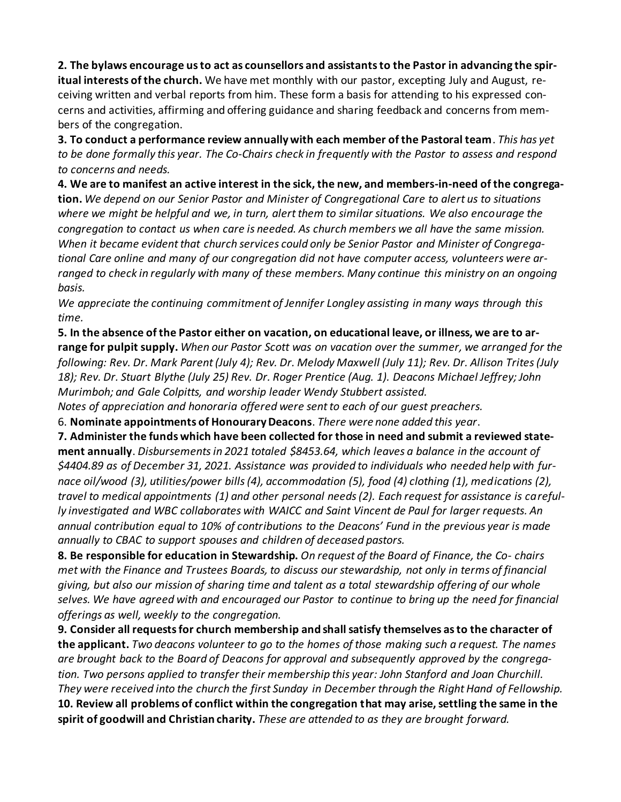**2. The bylaws encourage us to act as counsellors and assistants to the Pastor in advancing the spiritual interests of the church.** We have met monthly with our pastor, excepting July and August, receiving written and verbal reports from him. These form a basis for attending to his expressed concerns and activities, affirming and offering guidance and sharing feedback and concerns from members of the congregation.

**3. To conduct a performance review annually with each member of the Pastoral team**. *This has yet to be done formally this year. The Co-Chairs check in frequently with the Pastor to assess and respond to concerns and needs.* 

**4. We are to manifest an active interest in the sick, the new, and members-in-need of the congregation.** *We depend on our Senior Pastor and Minister of Congregational Care to alert us to situations where we might be helpful and we, in turn, alert them to similar situations. We also encourage the congregation to contact us when care is needed. As church members we all have the same mission. When it became evident that church services could only be Senior Pastor and Minister of Congregational Care online and many of our congregation did not have computer access, volunteers were arranged to check in regularly with many of these members. Many continue this ministry on an ongoing basis.* 

*We appreciate the continuing commitment of Jennifer Longley assisting in many ways through this time.* 

**5. In the absence of the Pastor either on vacation, on educational leave, or illness, we are to arrange for pulpit supply.** *When our Pastor Scott was on vacation over the summer, we arranged for the following: Rev. Dr. Mark Parent (July 4); Rev. Dr. Melody Maxwell (July 11); Rev. Dr. Allison Trites (July 18); Rev. Dr. Stuart Blythe (July 25) Rev. Dr. Roger Prentice (Aug. 1). Deacons Michael Jeffrey; John Murimboh; and Gale Colpitts, and worship leader Wendy Stubbert assisted.* 

*Notes of appreciation and honoraria offered were sent to each of our guest preachers.* 

6. **Nominate appointments of Honourary Deacons**. *There were none added this year*.

**7. Administer the funds which have been collected for those in need and submit a reviewed statement annually**. *Disbursementsin 2021 totaled \$8453.64, which leaves a balance in the account of \$4404.89 as of December 31, 2021. Assistance was provided to individuals who needed help with furnace oil/wood (3), utilities/power bills (4), accommodation (5), food (4) clothing (1), medications (2), travel to medical appointments (1) and other personal needs (2). Each request for assistance is carefully investigated and WBC collaborates with WAICC and Saint Vincent de Paul for larger requests. An annual contribution equal to 10% of contributions to the Deacons' Fund in the previous year is made annually to CBAC to support spouses and children of deceased pastors.* 

**8. Be responsible for education in Stewardship.** *On request of the Board of Finance, the Co- chairs met with the Finance and Trustees Boards, to discuss our stewardship, not only in terms of financial giving, but also our mission of sharing time and talent as a total stewardship offering of our whole selves. We have agreed with and encouraged our Pastor to continue to bring up the need for financial offerings as well, weekly to the congregation.* 

**9. Consider all requests for church membership and shall satisfy themselves as to the character of the applicant.** *Two deacons volunteer to go to the homes of those making such a request. The names are brought back to the Board of Deacons for approval and subsequently approved by the congregation. Two persons applied to transfer their membership this year: John Stanford and Joan Churchill. They were received into the church the first Sunday in December through the Right Hand of Fellowship.*  **10. Review all problems of conflict within the congregation that may arise, settling the same in the spirit of goodwill and Christian charity.** *These are attended to as they are brought forward.*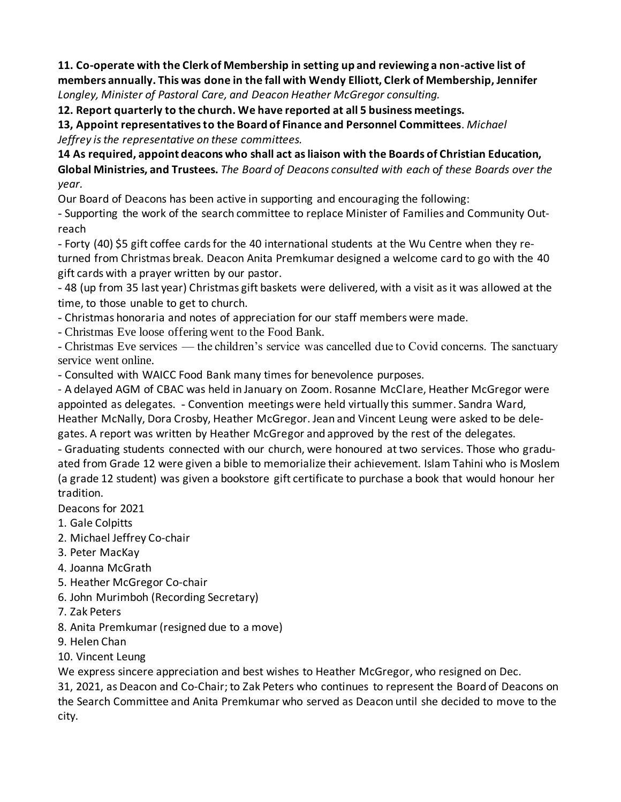**11. Co-operate with the Clerk of Membership in setting up and reviewing a non-active list of members annually. This was done in the fall with Wendy Elliott, Clerk of Membership, Jennifer**  *Longley, Minister of Pastoral Care, and Deacon Heather McGregor consulting.* 

**12. Report quarterly to the church. We have reported at all 5 business meetings.** 

**13, Appoint representatives to the Board of Finance and Personnel Committees**. *Michael Jeffrey is the representative on these committees.* 

**14 As required, appoint deacons who shall act as liaison with the Boards of Christian Education, Global Ministries, and Trustees.** *The Board of Deacons consulted with each* o*f these Boards over the year.* 

Our Board of Deacons has been active in supporting and encouraging the following:

- Supporting the work of the search committee to replace Minister of Families and Community Outreach

- Forty (40) \$5 gift coffee cards for the 40 international students at the Wu Centre when they returned from Christmas break. Deacon Anita Premkumar designed a welcome card to go with the 40 gift cards with a prayer written by our pastor.

- 48 (up from 35 last year) Christmas gift baskets were delivered, with a visit as it was allowed at the time, to those unable to get to church.

- Christmas honoraria and notes of appreciation for our staff members were made.

- Christmas Eve loose offering went to the Food Bank.

- Christmas Eve services — the children's service was cancelled due to Covid concerns. The sanctuary service went online.

- Consulted with WAICC Food Bank many times for benevolence purposes.

- A delayed AGM of CBAC was held in January on Zoom. Rosanne McClare, Heather McGregor were appointed as delegates. - Convention meetings were held virtually this summer. Sandra Ward, Heather McNally, Dora Crosby, Heather McGregor. Jean and Vincent Leung were asked to be delegates. A report was written by Heather McGregor and approved by the rest of the delegates.

- Graduating students connected with our church, were honoured at two services. Those who graduated from Grade 12 were given a bible to memorialize their achievement. Islam Tahini who is Moslem (a grade 12 student) was given a bookstore gift certificate to purchase a book that would honour her tradition.

Deacons for 2021

1. Gale Colpitts

- 2. Michael Jeffrey Co-chair
- 3. Peter MacKay
- 4. Joanna McGrath
- 5. Heather McGregor Co-chair
- 6. John Murimboh (Recording Secretary)
- 7. Zak Peters
- 8. Anita Premkumar (resigned due to a move)
- 9. Helen Chan
- 10. Vincent Leung

We express sincere appreciation and best wishes to Heather McGregor, who resigned on Dec.

31, 2021, as Deacon and Co-Chair; to Zak Peters who continues to represent the Board of Deacons on the Search Committee and Anita Premkumar who served as Deacon until she decided to move to the city.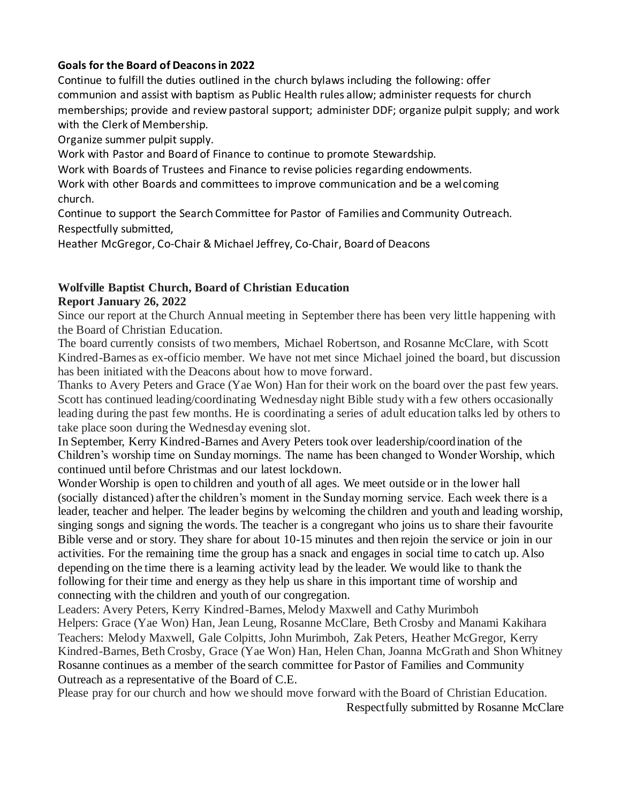## **Goals for the Board of Deacons in 2022**

Continue to fulfill the duties outlined in the church bylaws including the following: offer communion and assist with baptism as Public Health rules allow; administer requests for church memberships; provide and review pastoral support; administer DDF; organize pulpit supply; and work with the Clerk of Membership.

Organize summer pulpit supply.

Work with Pastor and Board of Finance to continue to promote Stewardship.

Work with Boards of Trustees and Finance to revise policies regarding endowments.

Work with other Boards and committees to improve communication and be a welcoming church.

Continue to support the Search Committee for Pastor of Families and Community Outreach. Respectfully submitted,

Heather McGregor, Co-Chair & Michael Jeffrey, Co-Chair, Board of Deacons

# **Wolfville Baptist Church, Board of Christian Education Report January 26, 2022**

Since our report at the Church Annual meeting in September there has been very little happening with the Board of Christian Education.

The board currently consists of two members, Michael Robertson, and Rosanne McClare, with Scott Kindred-Barnes as ex-officio member. We have not met since Michael joined the board, but discussion has been initiated with the Deacons about how to move forward.

Thanks to Avery Peters and Grace (Yae Won) Han for their work on the board over the past few years. Scott has continued leading/coordinating Wednesday night Bible study with a few others occasionally leading during the past few months. He is coordinating a series of adult education talks led by others to take place soon during the Wednesday evening slot.

In September, Kerry Kindred-Barnes and Avery Peters took over leadership/coordination of the Children's worship time on Sunday mornings. The name has been changed to Wonder Worship, which continued until before Christmas and our latest lockdown.

Wonder Worship is open to children and youth of all ages. We meet outside or in the lower hall (socially distanced) after the children's moment in the Sunday morning service. Each week there is a leader, teacher and helper. The leader begins by welcoming the children and youth and leading worship, singing songs and signing the words. The teacher is a congregant who joins us to share their favourite Bible verse and or story. They share for about 10-15 minutes and then rejoin the service or join in our activities. For the remaining time the group has a snack and engages in social time to catch up. Also depending on the time there is a learning activity lead by the leader. We would like to thank the following for their time and energy as they help us share in this important time of worship and connecting with the children and youth of our congregation.

Leaders: Avery Peters, Kerry Kindred-Barnes, Melody Maxwell and Cathy Murimboh Helpers: Grace (Yae Won) Han, Jean Leung, Rosanne McClare, Beth Crosby and Manami Kakihara Teachers: Melody Maxwell, Gale Colpitts, John Murimboh, Zak Peters, Heather McGregor, Kerry Kindred-Barnes, Beth Crosby, Grace (Yae Won) Han, Helen Chan, Joanna McGrath and Shon Whitney Rosanne continues as a member of the search committee for Pastor of Families and Community Outreach as a representative of the Board of C.E.

Please pray for our church and how we should move forward with the Board of Christian Education. Respectfully submitted by Rosanne McClare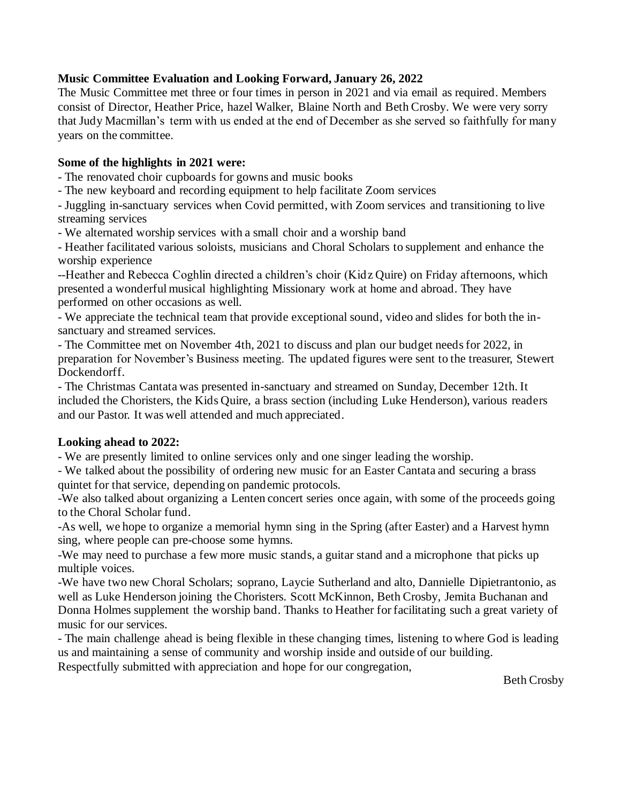#### **Music Committee Evaluation and Looking Forward, January 26, 2022**

The Music Committee met three or four times in person in 2021 and via email as required. Members consist of Director, Heather Price, hazel Walker, Blaine North and Beth Crosby. We were very sorry that Judy Macmillan's term with us ended at the end of December as she served so faithfully for many years on the committee.

#### **Some of the highlights in 2021 were:**

- The renovated choir cupboards for gowns and music books

- The new keyboard and recording equipment to help facilitate Zoom services

- Juggling in-sanctuary services when Covid permitted, with Zoom services and transitioning to live streaming services

- We alternated worship services with a small choir and a worship band

- Heather facilitated various soloists, musicians and Choral Scholars to supplement and enhance the worship experience

--Heather and Rebecca Coghlin directed a children's choir (Kidz Quire) on Friday afternoons, which presented a wonderful musical highlighting Missionary work at home and abroad. They have performed on other occasions as well.

- We appreciate the technical team that provide exceptional sound, video and slides for both the insanctuary and streamed services.

- The Committee met on November 4th, 2021 to discuss and plan our budget needs for 2022, in preparation for November's Business meeting. The updated figures were sent to the treasurer, Stewert Dockendorff.

- The Christmas Cantata was presented in-sanctuary and streamed on Sunday, December 12th. It included the Choristers, the Kids Quire, a brass section (including Luke Henderson), various readers and our Pastor. It was well attended and much appreciated.

## **Looking ahead to 2022:**

- We are presently limited to online services only and one singer leading the worship.

- We talked about the possibility of ordering new music for an Easter Cantata and securing a brass quintet for that service, depending on pandemic protocols.

-We also talked about organizing a Lenten concert series once again, with some of the proceeds going to the Choral Scholar fund.

-As well, we hope to organize a memorial hymn sing in the Spring (after Easter) and a Harvest hymn sing, where people can pre-choose some hymns.

-We may need to purchase a few more music stands, a guitar stand and a microphone that picks up multiple voices.

-We have two new Choral Scholars; soprano, Laycie Sutherland and alto, Dannielle Dipietrantonio, as well as Luke Henderson joining the Choristers. Scott McKinnon, Beth Crosby, Jemita Buchanan and Donna Holmes supplement the worship band. Thanks to Heather for facilitating such a great variety of music for our services.

- The main challenge ahead is being flexible in these changing times, listening to where God is leading us and maintaining a sense of community and worship inside and outside of our building. Respectfully submitted with appreciation and hope for our congregation,

Beth Crosby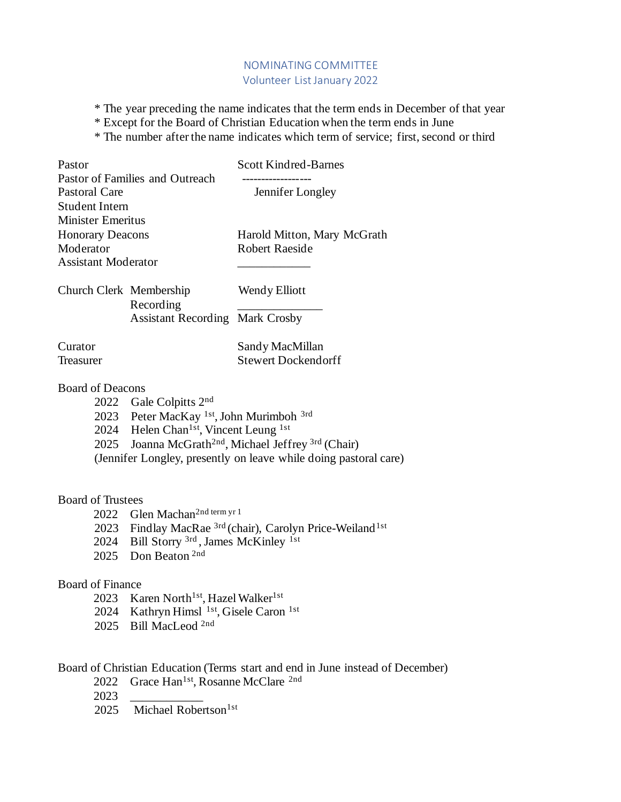## NOMINATING COMMITTEE Volunteer List January 2022

\* The year preceding the name indicates that the term ends in December of that year

\* Except for the Board of Christian Education when the term ends in June

\* The number after the name indicates which term of service; first, second or third

| Pastor                     |                                                               | <b>Scott Kindred-Barnes</b>  |
|----------------------------|---------------------------------------------------------------|------------------------------|
|                            | Pastor of Families and Outreach                               |                              |
| <b>Pastoral Care</b>       |                                                               | Jennifer Longley             |
| <b>Student Intern</b>      |                                                               |                              |
| <b>Minister Emeritus</b>   |                                                               |                              |
| <b>Honorary Deacons</b>    |                                                               | Harold Mitton, Mary McGrath  |
| Moderator                  |                                                               | <b>Robert Raeside</b>        |
| <b>Assistant Moderator</b> |                                                               |                              |
| Church Clerk Membership    | Recording                                                     | Wendy Elliott                |
|                            | <b>Assistant Recording Mark Crosby</b>                        |                              |
| Curator                    |                                                               | Sandy MacMillan              |
| Treasurer                  |                                                               | <b>Stewert Dockendorff</b>   |
| <b>Board of Deacons</b>    |                                                               |                              |
|                            | 2022 Gale Colpitts $2nd$                                      |                              |
|                            | 2023 Peter MacKay 1st, John Murimboh 3rd                      |                              |
|                            | 2024 Helen Chan <sup>1st</sup> , Vincent Leung <sup>1st</sup> |                              |
|                            |                                                               | $2 - 1$ $\sim$ $\sim$ $\sim$ |

2025 Joanna McGrath<sup>2nd</sup>, Michael Jeffrey  $3rd$  (Chair)

(Jennifer Longley, presently on leave while doing pastoral care)

#### Board of Trustees

- 2022 Glen Machan<sup>2nd term yr 1</sup>
- 2023 Findlay MacRae <sup>3rd</sup> (chair), Carolyn Price-Weiland<sup>1st</sup>
- 2024 Bill Storry <sup>3rd</sup>, James McKinley <sup>1st</sup>
- 2025 Don Beaton<sup>2nd</sup>

#### Board of Finance

- 2023 Karen North<sup>1st</sup>, Hazel Walker<sup>1st</sup>
- 2024 Kathryn Himsl <sup>1st</sup>, Gisele Caron <sup>1st</sup>
- 2025 Bill MacLeod <sup>2nd</sup>

## Board of Christian Education (Terms start and end in June instead of December)

- 2022 Grace Han<sup>1st</sup>, Rosanne McClare <sup>2nd</sup>
- 2023 \_\_\_\_\_\_\_\_\_\_\_\_
- 2025 Michael Robertson<sup>1st</sup>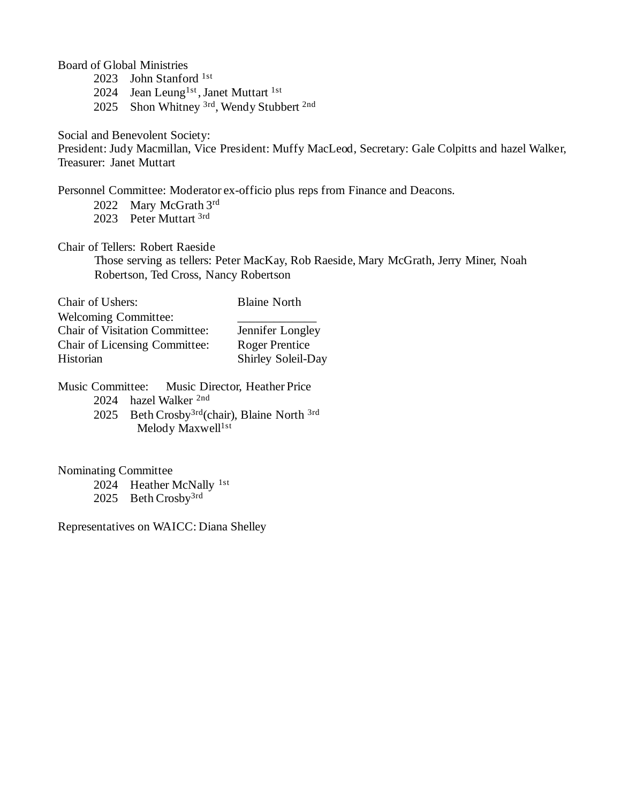Board of Global Ministries

2023 John Stanford 1st

2024 Jean Leung<sup>1st</sup>, Janet Muttart<sup>1st</sup>

2025 Shon Whitney <sup>3rd</sup>, Wendy Stubbert <sup>2nd</sup>

Social and Benevolent Society:

President: Judy Macmillan, Vice President: Muffy MacLeod, Secretary: Gale Colpitts and hazel Walker, Treasurer: Janet Muttart

Personnel Committee: Moderator ex-officio plus reps from Finance and Deacons.

- 2022 Mary McGrath 3rd
- 2023 Peter Muttart <sup>3rd</sup>

Chair of Tellers: Robert Raeside

Those serving as tellers: Peter MacKay, Rob Raeside, Mary McGrath, Jerry Miner, Noah Robertson, Ted Cross, Nancy Robertson

| Chair of Ushers:                      | <b>Blaine North</b>   |
|---------------------------------------|-----------------------|
| <b>Welcoming Committee:</b>           |                       |
| <b>Chair of Visitation Committee:</b> | Jennifer Longley      |
| Chair of Licensing Committee:         | <b>Roger Prentice</b> |
| Historian                             | Shirley Soleil-Day    |

Music Committee: Music Director, Heather Price 2024 hazel Walker 2nd 2025 Beth Crosby<sup>3rd</sup>(chair), Blaine North <sup>3rd</sup>

Melody Maxwell<sup>1st</sup>

Nominating Committee

2024 Heather McNally 1st

2025 Beth Crosby<sup>3rd</sup>

Representatives on WAICC: Diana Shelley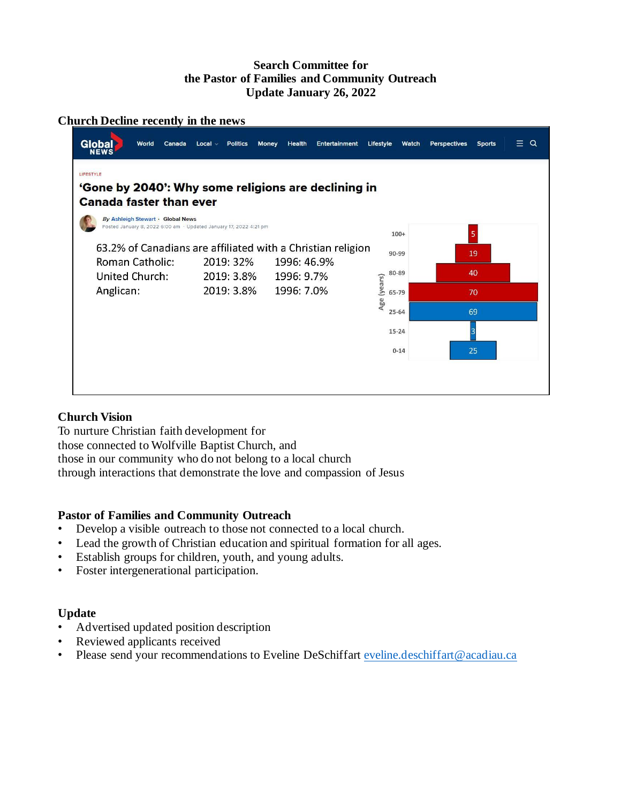## **Search Committee for the Pastor of Families and Community Outreach Update January 26, 2022**

#### **Church Decline recently in the news**

| Global<br>World<br>Canada<br><b>NEWS</b>                                                               | <b>Politics</b><br>$Local \vee$ | Money<br>Health<br>Entertainment                                           | Lifestyle<br>Watch   | $\alpha$<br>Ξ.<br>Perspectives<br><b>Sports</b> |
|--------------------------------------------------------------------------------------------------------|---------------------------------|----------------------------------------------------------------------------|----------------------|-------------------------------------------------|
| LIFESTYLE<br>'Gone by 2040': Why some religions are declining in                                       |                                 |                                                                            |                      |                                                 |
| <b>Canada faster than ever</b>                                                                         |                                 |                                                                            |                      |                                                 |
| By Ashleigh Stewart · Global News<br>Posted January 8, 2022 6:00 am · Updated January 17, 2022 4:21 pm |                                 |                                                                            | $100+$               | 5                                               |
| <b>Roman Catholic:</b>                                                                                 | 2019: 32%                       | 63.2% of Canadians are affiliated with a Christian religion<br>1996: 46.9% | 90-99                | 19                                              |
| United Church:                                                                                         | 2019: 3.8%                      | 1996: 9.7%                                                                 | 80-89                | 40                                              |
| Anglican:                                                                                              | 2019: 3.8%                      | 1996: 7.0%                                                                 | Age (years)<br>65-79 | 70                                              |
|                                                                                                        |                                 |                                                                            | $25 - 64$            | 69                                              |
|                                                                                                        |                                 |                                                                            | $15 - 24$            |                                                 |
|                                                                                                        |                                 |                                                                            | $0 - 14$             | 25                                              |
|                                                                                                        |                                 |                                                                            |                      |                                                 |
|                                                                                                        |                                 |                                                                            |                      |                                                 |

## **Church Vision**

To nurture Christian faith development for those connected to Wolfville Baptist Church, and those in our community who do not belong to a local church through interactions that demonstrate the love and compassion of Jesus

## **Pastor of Families and Community Outreach**

- Develop a visible outreach to those not connected to a local church.
- Lead the growth of Christian education and spiritual formation for all ages.
- Establish groups for children, youth, and young adults.
- Foster intergenerational participation.

## **Update**

- Advertised updated position description
- Reviewed applicants received
- Please send your recommendations to Eveline DeSchiffart [eveline.deschiffart@acadiau.ca](mailto:eveline.deschiffart@acadiau.ca)